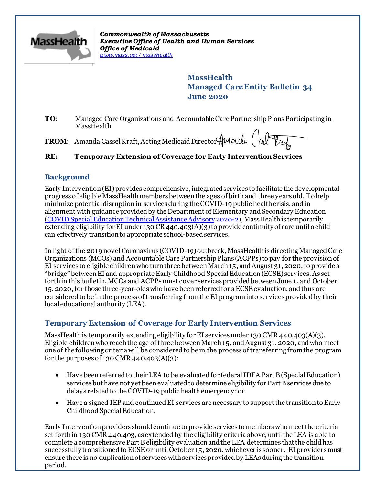

*Commonwealth of Massachusetts Executive Office of Health and Human Services Office of Medicaid [www.mass.gov/masshealth](http://www.mass.gov/masshealth)*

> **MassHealth Managed Care Entity Bulletin 34 June 2020**

**TO**: Managed Care Organizations and Accountable Care Partnership Plans Participating in MassHealth

**FROM:** Amanda Cassel Kraft, Acting Medicaid Director Amanda (al

## **RE: Temporary Extension of Coverage for Early Intervention Services**

## **Background**

Early Intervention (EI) provides comprehensive, integrated services to facilitate the developmental progress of eligible MassHealth members between the ages of birth and three years old. To help minimize potential disruption in services during the COVID-19 public health crisis, and in alignment with guidance provided by the Department of Elementary and Secondary Edu[cation](http://www.doe.mass.edu/sped/advisories/2020-2covid-ta.html) (COVID [Special Education Technical Assistance Advisory](http://www.doe.mass.edu/sped/advisories/2020-2covid-ta.html) 2020-2), MassHealth is temporarily extending eligibility for EI under 130 CR 440.403(A)(3) to provide continuity of care until a child can effectively transition to appropriate school-based services.

In light of the 2019 novel Coronavirus (COVID-19) outbreak, MassHealth is directing Managed Care Organizations (MCOs) and Accountable Care Partnership Plans (ACPPs) to pay for the provision of EI services to eligible children who turn three between March 15, and August 31, 2020, to provide a "bridge" between EI and appropriate Early Childhood Special Education (ECSE) services. As set forth in this bulletin, MCOs and ACPPs must cover services provided between June 1 , and October 15, 2020, for those three-year-olds who have been referred for a ECSE evaluation, and thus are considered to be in the process of transferring from the EI program into services provided by their local educational authority (LEA).

# **Temporary Extension of Coverage for Early Intervention Services**

MassHealth is temporarily extending eligibility for EI services under 130 CMR 440.403(A)(3). Eligible children who reach the age of three between March 15, and August 31, 2020, and who meet one of the following criteria will be considered to be in the process of transferring from the program for the purposes of 130 CMR 440.403(A)(3):

- Have been referred to their LEA to be evaluated for federal IDEA Part B (Special Education) services but have not yet been evaluated to determine eligibility for Part B services due to delays related to the COVID-19 public health emergency; or
- Have a signed IEP and continued EI services are necessary to support the transition to Early Childhood Special Education.

Early Intervention providers should continue to provide services to members who meet the criteria set forth in 130 CMR 440.403, as extended by the eligibility criteria above, until the LEA is able to complete a comprehensive Part B eligibility evaluation and the LEA determines that the child has successfully transitioned to ECSE or until October 15, 2020, whichever is sooner. EI providers must ensure there is no duplication of services with services provided by LEAs during the transition period.